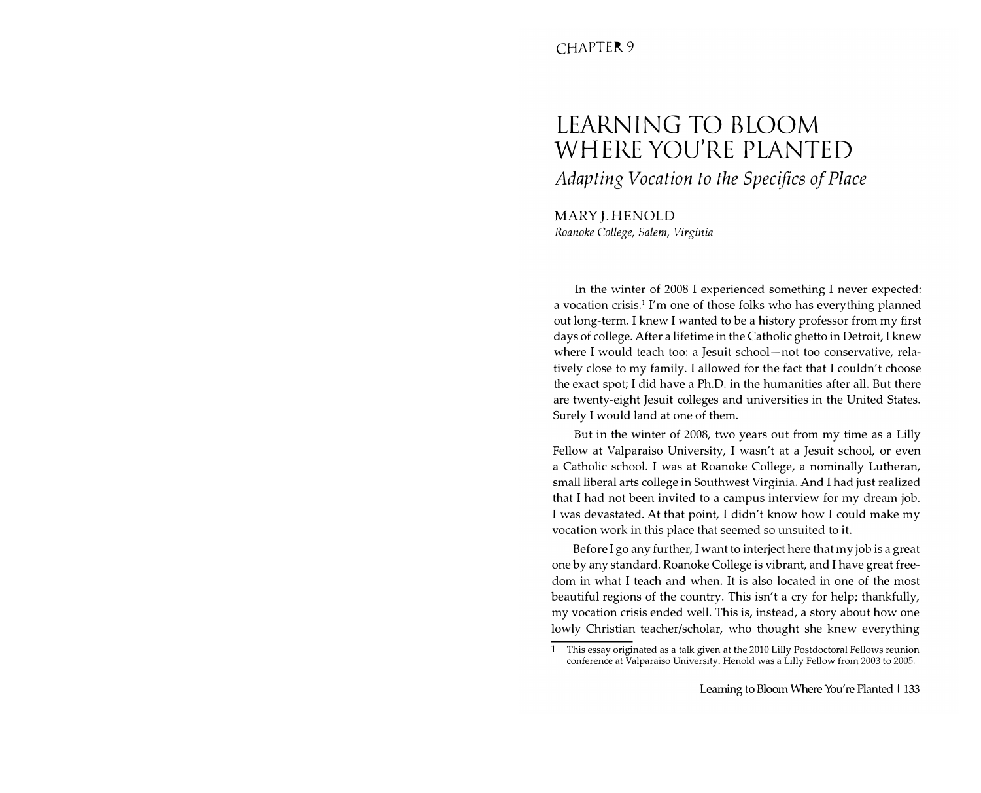# LEARNING TO BLOOM WHERE YOU'RE PLANTED

*Adapting Vocation to the Specifics of Place* 

MARY J.HENOLD *Roanoke College, Salem, Virginia* 

In the winter of 2008 I experienced something I never expected: a vocation crisis.<sup>1</sup> I'm one of those folks who has everything planned out long-term. I knew I wanted to be a history professor from my first days of college. After a lifetime in the Catholic ghetto in Detroit, I knew where I would teach too: a Jesuit school-not too conservative, relatively close to my family. I allowed for the fact that I couldn't choose the exact spot; I did have a Ph.D. in the humanities after all. But there are twenty-eight Jesuit colleges and universities in the United States. Surely I would land at one of them.

But in the winter of 2008, two years out from my time as a Lilly Fellow at Valparaiso University, I wasn't at a Jesuit school, or even a Catholic school. I was at Roanoke College, a nominally Lutheran, small liberal arts college in Southwest Virginia. And I had just realized that I had not been invited to a campus interview for my dream job. I was devastated. At that point, I didn't know how I could make my vocation work in this place that seemed so unsuited to it.

Before I go any further, I want to interject here that my job is a great one by any standard. Roanoke College is vibrant, and I have great freedom in what I teach and when. It is also located in one of the most beautiful regions of the country. This isn't a cry for help; thankfully, my vocation crisis ended well. This is, instead, a story about how one lowly Christian teacher/scholar, who thought she knew everything

<sup>1</sup> This essay originated as a talk given at the 2010 Lilly Postdoctoral Fellows reunion conference at Valparaiso University. Henold was a Lilly Fellow from 2003 to 2005.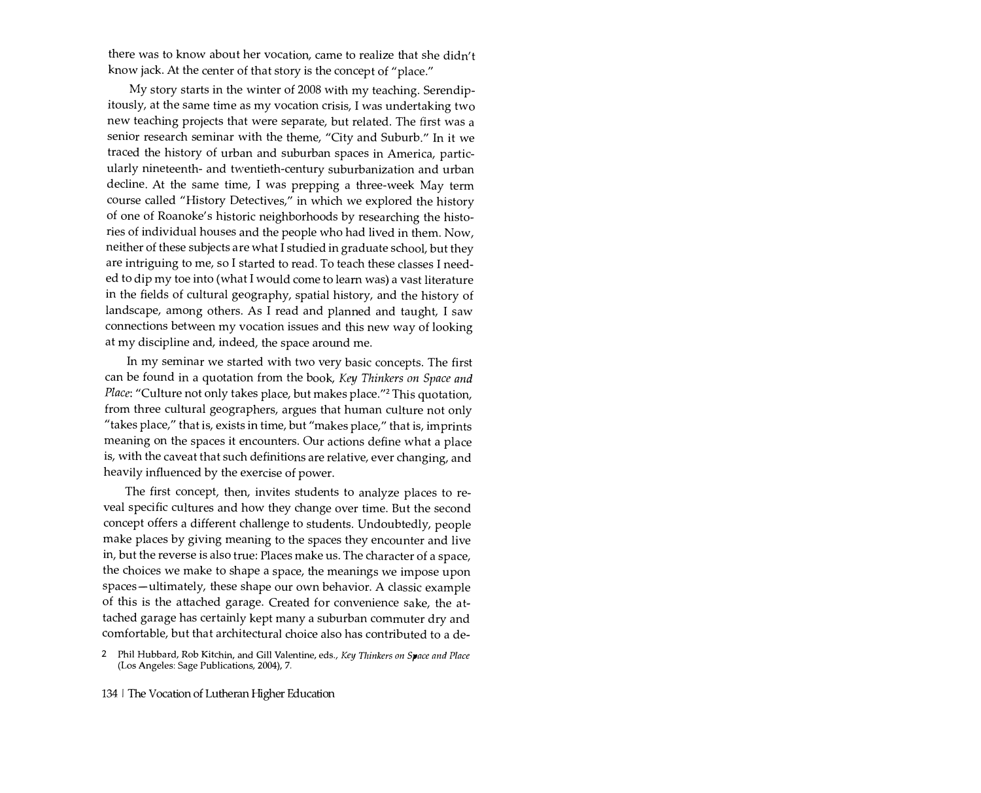there was to know about her vocation, came to realize that she didn't know jack. At the center of that story is the concept of "place."

My story starts in the winter of 2008 with my teaching. Serendipitously, at the same time as my vocation crisis, I was undertaking two new teaching projects that were separate, but related. The first was a senior research seminar with the theme, "City and Suburb." In it we traced the history of urban and suburban spaces in America, particularly nineteenth- and twentieth-century suburbanization and urban decline. At the same time, I was prepping a three-week May term course called "History Detectives," in which we explored the history of one of Roanoke's historic neighborhoods by researching the histories of individual houses and the people who had lived in them. Now, neither of these subjects are what I studied in graduate school, but they are intriguing to me, so I started to read. To teach these classes I needed to dip my toe into (what I would come to learn was) a vast literature in the fields of cultural geography, spatial history, and the history of landscape, among others. As I read and planned and taught, I saw connections between my vocation issues and this new way of looking at my discipline and, indeed, the space around me.

In my seminar we started with two very basic concepts. The first can be found in a quotation from the book, Key Thinkers on Space and Place: "Culture not only takes place, but makes place."<sup>2</sup> This quotation, from three cultural geographers, argues that human culture not only "takes place," that is, exists in time, but "makes place," that is, imprints meaning on the spaces it encounters. Our actions define what a place is, with the caveat that such definitions are relative, ever changing, and heavily influenced by the exercise of power.

The first concept, then, invites students to analyze places to reveal specific cultures and how they change over time. But the second concept offers a different challenge to students. Undoubtedly, people make places by giving meaning to the spaces they encounter and live in, but the reverse is also true: Places make us. The character of a space, the choices we make to shape a space, the meanings we impose upon spaces-ultimately, these shape our own behavior. A classic example of this is the attached garage. Created for convenience sake, the attached garage has certainly kept many a suburban commuter dry and comfortable, but that architectural choice also has contributed to a de-

 $\overline{2}$ Phil Hubbard, Rob Kitchin, and Gill Valentine, eds., Key Thinkers on Space and Place (Los Angeles: Sage Publications, 2004), 7.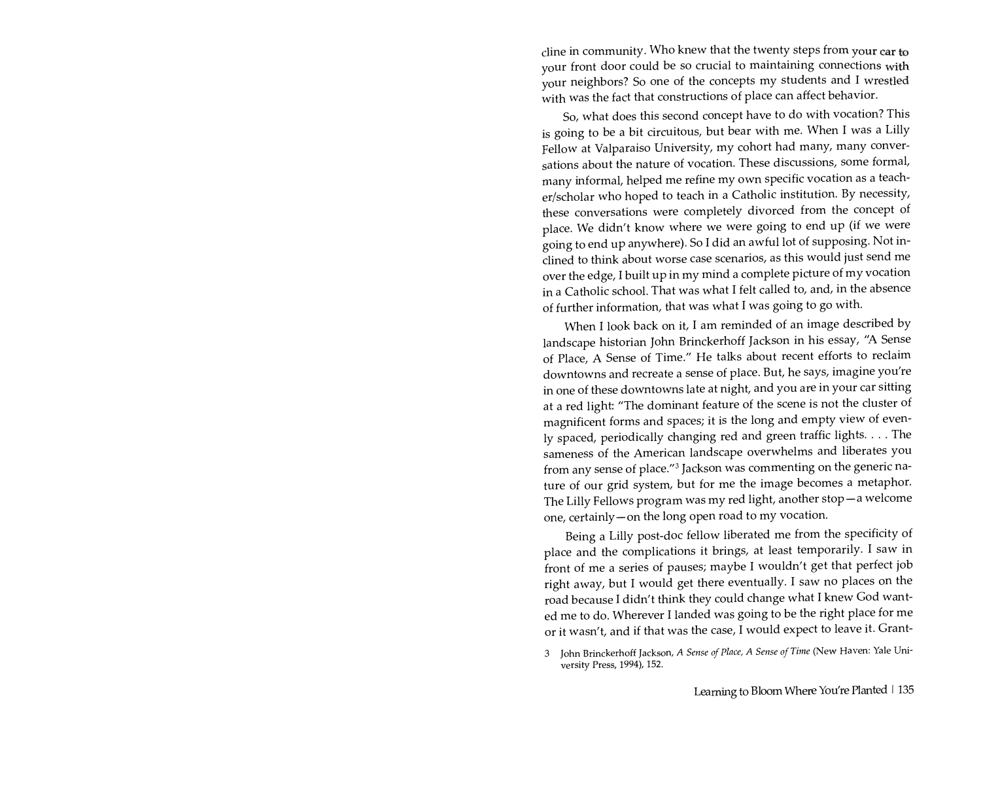cline in community. Who knew that the twenty steps from your car to your front door could be so crucial to maintaining connections with your neighbors? So one of the concepts my students and I wrestled with was the fact that constructions of place can affect behavior.

So, what does this second concept have to do with vocation? This is going to be a bit circuitous, but bear with me. When I was a Lilly Fellow at Valparaiso University, my cohort had many, many conversations about the nature of vocation. These discussions, some formal, many informal, helped me refine my own specific vocation as a teacher/scholar who hoped to teach in a Catholic institution. By necessity, these conversations were completely divorced from the concept of place. We didn't know where we were going to end up (if we were going to end up anywhere). So I did an awful lot of supposing. Not inclined to think about worse case scenarios, as this would just send me over the edge, I built up in my mind a complete picture of my vocation in a Catholic school. That was what I felt called to, and, in the absence of further information, that was what I was going to go with.

When I look back on it, I am reminded of an image described by landscape historian John Brinckerhoff Jackson in his essay, "A Sense of Place, A Sense of Time." He talks about recent efforts to reclaim downtowns and recreate a sense of place. But, he says, imagine you're in one of these downtowns late at night, and you are in your car sitting at a red light: "The dominant feature of the scene is not the cluster of magnificent forms and spaces; it is the long and empty view of evenly spaced, periodically changing red and green traffic lights. . . . The sameness of the American landscape overwhelms and liberates you from any sense of place."<sup>3</sup> Jackson was commenting on the generic nature of our grid system, but for me the image becomes a metaphor. The Lilly Fellows program was my red light, another stop-a welcome one, certainly - on the long open road to my vocation.

Being a Lilly post-doc fellow liberated me from the specificity of place and the complications it brings, at least temporarily. I saw in front of me a series of pauses; maybe I wouldn't get that perfect job right away, but I would get there eventually. I saw no places on the road because I didn't think they could change what I knew God wanted me to do. Wherever I landed was going to be the right place for me or it wasn't, and if that was the case, I would expect to leave it. Grant-

John Brinckerhoff Jackson, A Sense of Place, A Sense of Time (New Haven: Yale Uni-3 versity Press, 1994), 152.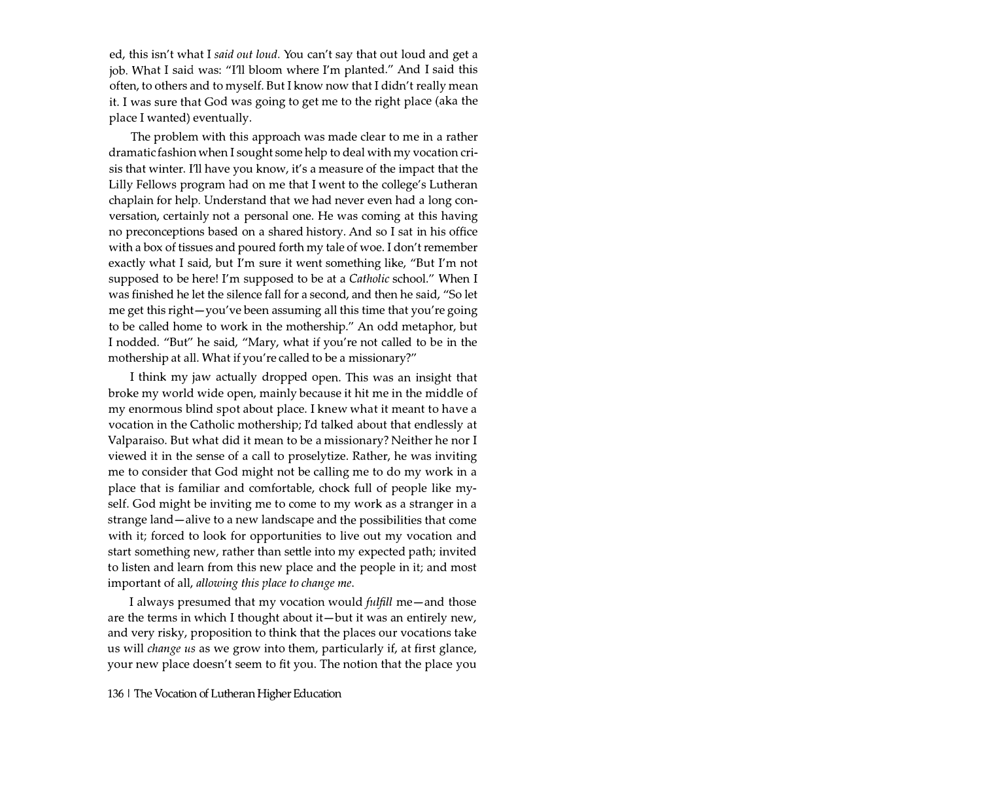ed, this isn't what I *said out loud.* You can't say that out loud and get a job. What I said was: "111 bloom where I'm planted." And I said this often, to others and to myself. But I know now that I didn't really mean it. I was sure that God was going to get me to the right place (aka the place I wanted) eventually.

The problem with this approach was made clear to me in a rather dramatic fashion when I sought some help to deal with my vocation crisis that winter. 111 have you know, it's a measure of the impact that the Lilly Fellows program had on me that I went to the college's Lutheran chaplain for help. Understand that we had never even had a long conversation, certainly not a personal one. He was coming at this having no preconceptions based on a shared history. And so I sat in his office with a box of tissues and poured forth my tale of woe. I don't remember exactly what I said, but I'm sure it went something like, "But I'm not supposed to be here! I'm supposed to be at a *Catholic* school." When I was finished he let the silence fall for a second, and then he said, "So let me get this right-you've been assuming all this time that you're going to be called home to work in the mothership." An odd metaphor, but I nodded. "But" he said, "Mary, what if you're not called to be in the mothership at all. What if you're called to be a missionary?"

I think my jaw actually dropped open. This was an insight that broke my world wide open, mainly because it hit me in the middle of my enormous blind spot about place. I knew what it meant to have a vocation in the Catholic mothership; I'd talked about that endlessly at Valparaiso. But what did it mean to be a missionary? Neither he nor I viewed it in the sense of a call to proselytize. Rather, he was inviting me to consider that God might not be calling me to do my work in a place that is familiar and comfortable, chock full of people like myself. God might be inviting me to come to my work as a stranger in a strange land-alive to a new landscape and the possibilities that come with it; forced to look for opportunities to live out my vocation and start something new, rather than settle into my expected path; invited to listen and learn from this new place and the people in it; and most important of all, *allowing this place to change me.* 

I always presumed that my vocation would *fulfill* me-and those are the terms in which I thought about it-but it was an entirely new, and very risky, proposition to think that the places our vocations take us will *change us* as we grow into them, particularly if, at first glance, your new place doesn't seem to fit you. The notion that the place you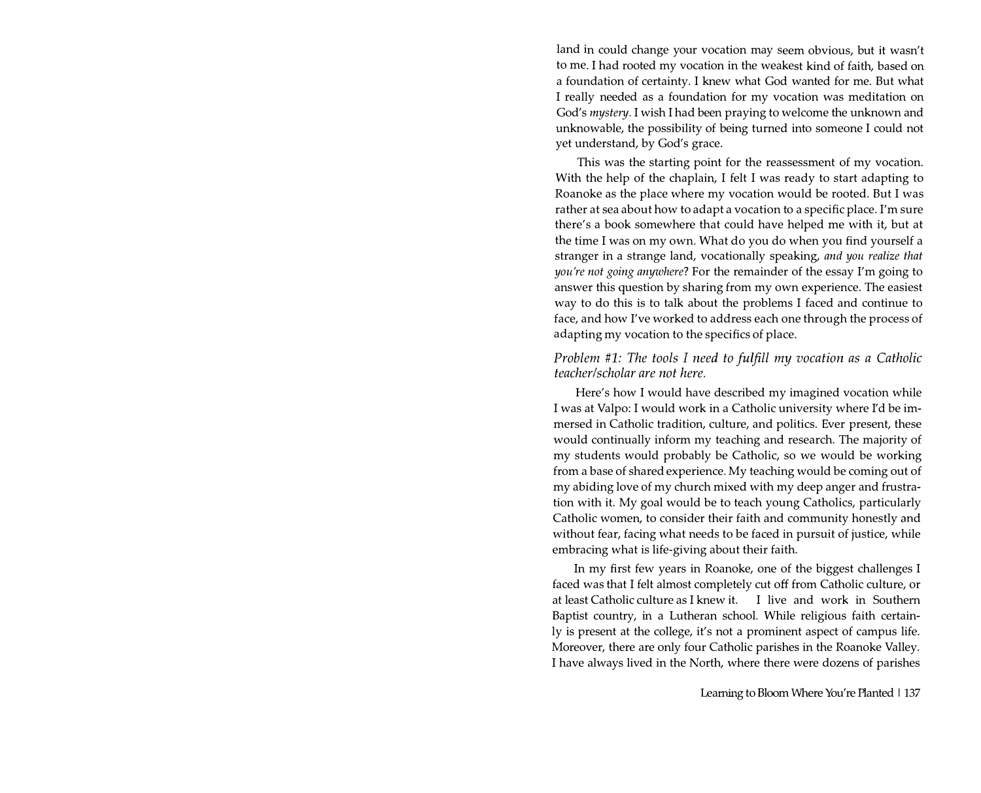land in could change your vocation may seem obvious, but it wasn't to me. I had rooted my vocation in the weakest kind of faith, based on a foundation of certainty. I knew what God wanted for me. But what I really needed as a foundation for my vocation was meditation on God's *mystery.* I wish I had been praying to welcome the unknown and unknowable, the possibility of being turned into someone I could not yet understand, by God's grace.

This was the starting point for the reassessment of my vocation. With the help of the chaplain, I felt I was ready to start adapting to Roanoke as the place where my vocation would be rooted. But I was rather at sea about how to adapt a vocation to a specific place. I'm sure there's a book somewhere that could have helped me with it, but at the time I was on my own. What do you do when you find yourself a stranger in a strange land, vocationally speaking, *and you realize that you're not going anywhere?* For the remainder of the essay I'm going to answer this question by sharing from my own experience. The easiest way to do this is to talk about the problems I faced and continue to face, and how I've worked to address each one through the process of adapting my vocation to the specifics of place.

#### *Problem #1: The tools I need to fulfill my vocation as a Catholic teacher/scholar are not here.*

Here's how I would have described my imagined vocation while I was at Valpo: I would work in a Catholic university where I'd be immersed in Catholic tradition, culture, and politics. Ever present, these would continually inform my teaching and research. The majority of my students would probably be Catholic, so we would be working from a base of shared experience. My teaching would be coming out of my abiding love of my church mixed with my deep anger and frustration with it. My goal would be to teach young Catholics, particularly Catholic women, to consider their faith and community honestly and without fear, facing what needs to be faced in pursuit of justice, while embracing what is life-giving about their faith.

In my first few years in Roanoke, one of the biggest challenges I faced was that I felt almost completely cut off from Catholic culture, or at least Catholic culture as I knew it. I live and work in Southern Baptist country, in a Lutheran school. While religious faith certainly is present at the college, it's not a prominent aspect of campus life. Moreover, there are only four Catholic parishes in the Roanoke Valley. I have always lived in the North, where there were dozens of parishes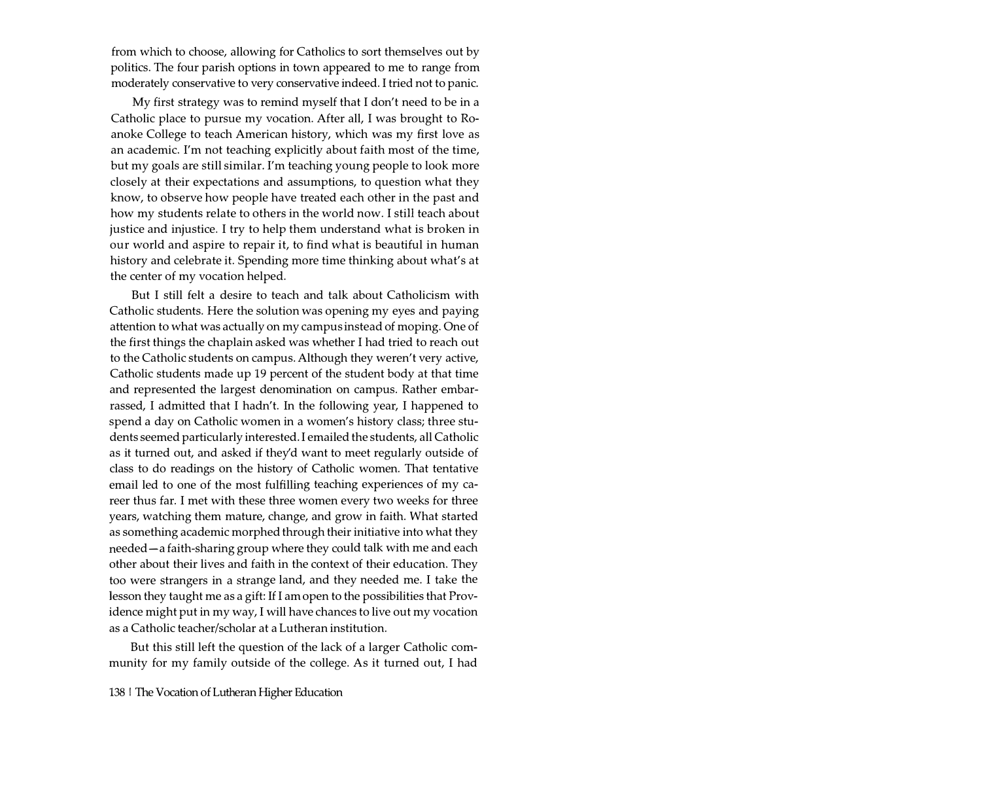from which to choose, allowing for Catholics to sort themselves out by politics. The four parish options in town appeared to me to range from moderately conservative to very conservative indeed. I tried not to panic.

My first strategy was to remind myself that I don't need to be in a Catholic place to pursue my vocation. After all, I was brought to Roanoke College to teach American history, which was my first love as an academic. I'm not teaching explicitly about faith most of the time, but my goals are still similar. I'm teaching young people to look more closely at their expectations and assumptions, to question what they know, to observe how people have treated each other in the past and how my students relate to others in the world now. I still teach about justice and injustice. I try to help them understand what is broken in our world and aspire to repair it, to find what is beautiful in human history and celebrate it. Spending more time thinking about what's at the center of my vocation helped.

But I still felt a desire to teach and talk about Catholicism with Catholic students. Here the solution was opening my eyes and paying attention to what was actually on my campus instead of moping. One of the first things the chaplain asked was whether I had tried to reach out to the Catholic students on campus. Although they weren't very active, Catholic students made up 19 percent of the student body at that time and represented the largest denomination on campus. Rather embarrassed, I admitted that I hadn't. In the following year, I happened to spend a day on Catholic women in a women's history class; three students seemed particularly interested. I emailed the students, all Catholic as it turned out, and asked if they'd want to meet regularly outside of class to do readings on the history of Catholic women. That tentative email led to one of the most fulfilling teaching experiences of my career thus far. I met with these three women every two weeks for three years, watching them mature, change, and grow in faith. What started as something academic morphed through their initiative into what they needed-a faith-sharing group where they could talk with me and each other about their lives and faith in the context of their education. They too were strangers in a strange land, and they needed me. I take the lesson they taught me as a gift: If I am open to the possibilities that Providence might put in my way, I will have chances to live out my vocation as a Catholic teacher/scholar at a Lutheran institution.

But this still left the question of the lack of a larger Catholic community for my family outside of the college. As it turned out, I had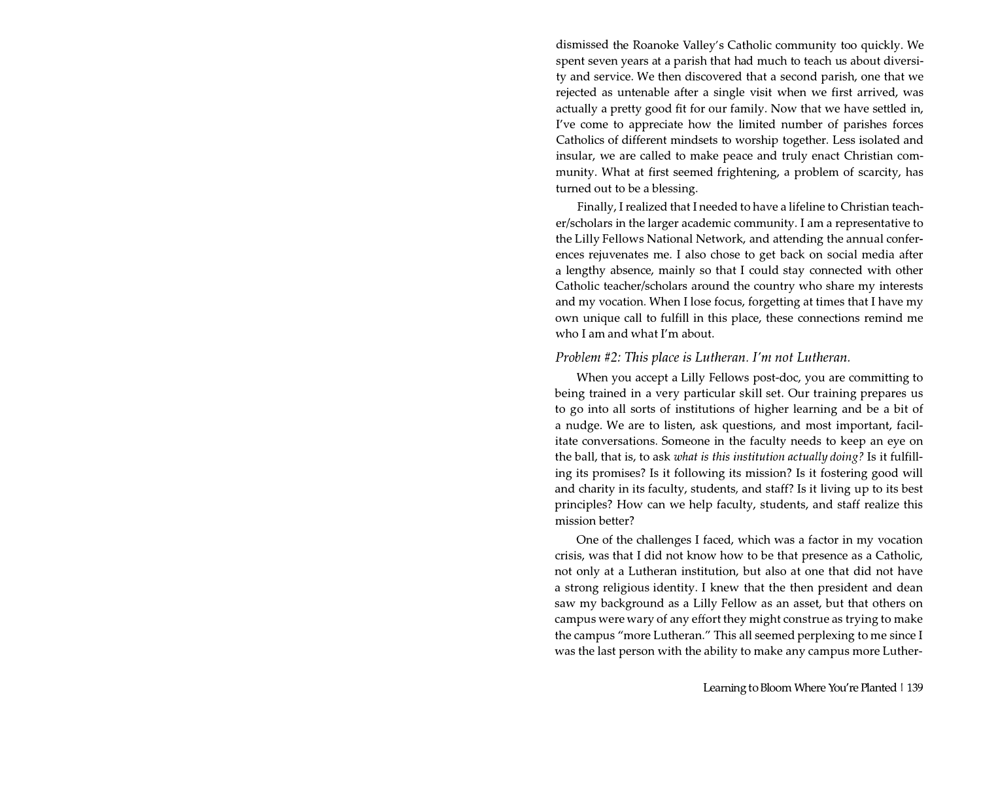dismissed the Roanoke Valley's Catholic community too quickly. We spent seven years at a parish that had much to teach us about diversity and service. We then discovered that a second parish, one that we rejected as untenable after a single visit when we first arrived, was actually a pretty good fit for our family. Now that we have settled in, I've come to appreciate how the limited number of parishes forces Catholics of different mindsets to worship together. Less isolated and insular, we are called to make peace and truly enact Christian community. What at first seemed frightening, a problem of scarcity, has turned out to be a blessing.

Finally, I realized that I needed to have a lifeline to Christian teacher/scholars in the larger academic community. I am a representative to the Lilly Fellows National Network, and attending the annual conferences rejuvenates me. I also chose to get back on social media after a lengthy absence, mainly so that I could stay connected with other Catholic teacher/scholars around the country who share my interests and my vocation. When I lose focus, forgetting at times that I have my own unique call to fulfill in this place, these connections remind me who I am and what I'm about.

#### *Problem #2: This place is Lutheran. I'm not Lutheran.*

When you accept a Lilly Fellows post-doc, you are committing to being trained in a very particular skill set. Our training prepares us to go into all sorts of institutions of higher learning and be a bit of a nudge. We are to listen, ask questions, and most important, facilitate conversations. Someone in the faculty needs to keep an eye on the ball, that is, to ask *what is this institution actually doing?* Is it fulfilling its promises? Is it following its mission? Is it fostering good will and charity in its faculty, students, and staff? Is it living up to its best principles? How can we help faculty, students, and staff realize this mission better?

One of the challenges I faced, which was a factor in my vocation crisis, was that I did not know how to be that presence as a Catholic, not only at a Lutheran institution, but also at one that did not have a strong religious identity. I knew that the then president and dean saw my background as a Lilly Fellow as an asset, but that others on campus were wary of any effort they might construe as trying to make the campus "more Lutheran." This all seemed perplexing to me since I was the last person with the ability to make any campus more Luther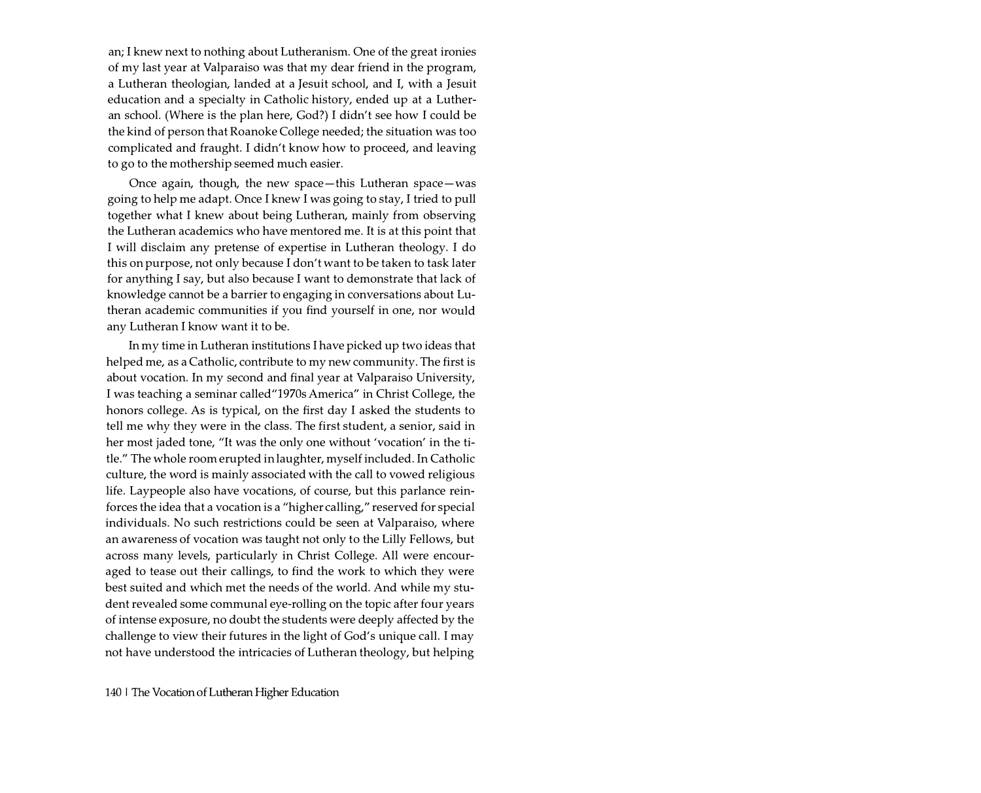an; I knew next to nothing about Lutheranism. One of the great ironies of my last year at Valparaiso was that my dear friend in the program, a Lutheran theologian, landed at a Jesuit school, and I, with a Jesuit education and a specialty in Catholic history, ended up at a Lutheran school. (Where is the plan here, God?) I didn't see how I could be the kind of person that Roanoke College needed; the situation was too complicated and fraught. I didn't know how to proceed, and leaving to go to the mothership seemed much easier.

Once again, though, the new space-this Lutheran space-was going to help me adapt. Once I knew I was going to stay, I tried to pull together what I knew about being Lutheran, mainly from observing the Lutheran academics who have mentored me. It is at this point that I will disclaim any pretense of expertise in Lutheran theology. I do this on purpose, not only because I don't want to be taken to task later for anything I say, but also because I want to demonstrate that lack of knowledge cannot be a barrier to engaging in conversations about Lutheran academic communities if you find yourself in one, nor would any Lutheran I know want it to be.

In my time in Lutheran institutions I have picked up two ideas that helped me, as a Catholic, contribute to my new community. The first is about vocation. In my second and final year at Valparaiso University, I was teaching a seminar called"1970s America" in Christ College, the honors college. As is typical, on the first day I asked the students to tell me why they were in the class. The first student, a senior, said in her most jaded tone, "It was the only one without 'vocation' in the title." The whole room erupted in laughter, myself included. In Catholic culture, the word is mainly associated with the call to vowed religious life. Laypeople also have vocations, of course, but this parlance reinforces the idea that a vocation is a "higher calling," reserved for special individuals. No such restrictions could be seen at Valparaiso, where an awareness of vocation was taught not only to the Lilly Fellows, but across many levels, particularly in Christ College. All were encouraged to tease out their callings, to find the work to which they were best suited and which met the needs of the world. And while my student revealed some communal eye-rolling on the topic after four years of intense exposure, no doubt the students were deeply affected by the challenge to view their futures in the light of God's unique call.I may not have understood the intricacies of Lutheran theology, but helping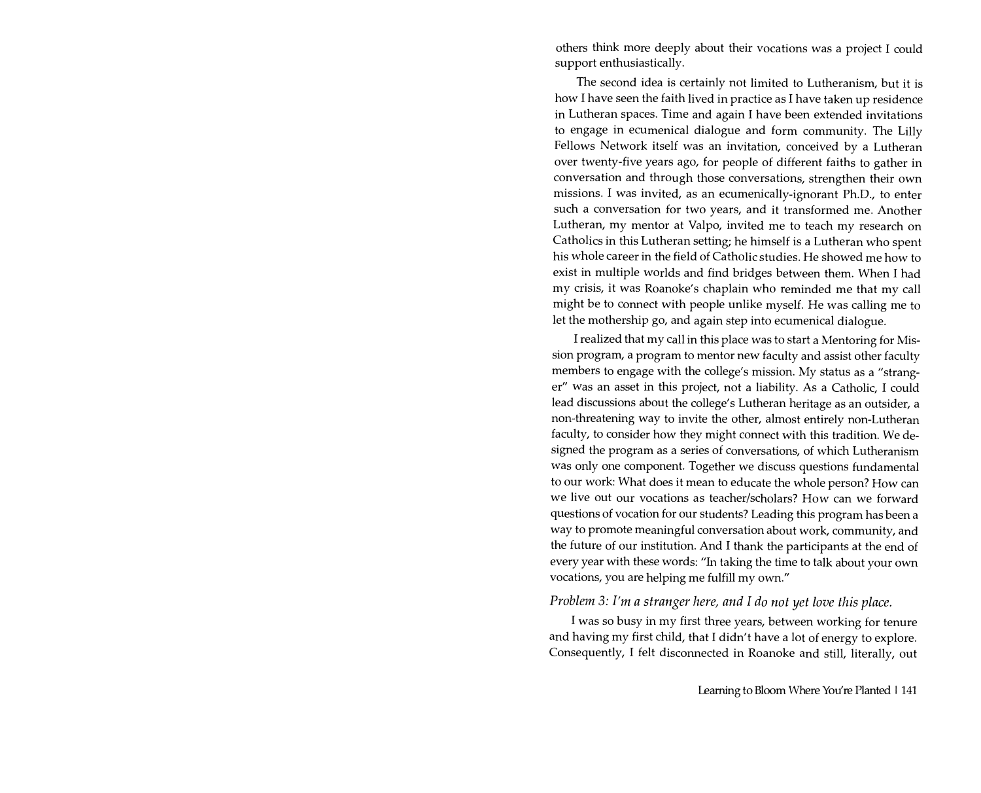others think more deeply about their vocations was a project I could support enthusiastically.

The second idea is certainly not limited to Lutheranism, but it is how I have seen the faith lived in practice as I have taken up residence in Lutheran spaces. Time and again I have been extended invitations to engage in ecumenical dialogue and form community. The Lilly Fellows Network itself was an invitation, conceived by a Lutheran over twenty-five years ago, for people of different faiths to gather in conversation and through those conversations, strengthen their own missions. I was invited, as an ecumenically-ignorant Ph.D., to enter such a conversation for two years, and it transformed me. Another Lutheran, my mentor at Valpo, invited me to teach my research on Catholics in this Lutheran setting; he himself is a Lutheran who spent his whole career in the field of Catholic studies. He showed me how to exist in multiple worlds and find bridges between them. When I had my crisis, it was Roanoke's chaplain who reminded me that my call might be to connect with people unlike myself. He was calling me to let the mothership go, and again step into ecumenical dialogue.

I realized that my call in this place was to start a Mentoring for Mission program, a program to mentor new faculty and assist other faculty members to engage with the college's mission. My status as a "stranger" was an asset in this project, not a liability. As a Catholic, I could lead discussions about the college's Lutheran heritage as an outsider, a non-threatening way to invite the other, almost entirely non-Lutheran faculty, to consider how they might connect with this tradition. We designed the program as a series of conversations, of which Lutheranism was only one component. Together we discuss questions fundamental to our work: What does it mean to educate the whole person? How can we live out our vocations as teacher/scholars? How can we forward questions of vocation for our students? Leading this program has been a way to promote meaningful conversation about work, community, and the future of our institution. And I thank the participants at the end of every year with these words: "In taking the time to talk about your own vocations, you are helping me fulfill my own."

#### *Problem 3: I'm a stranger here, and I do not yet love this place.*

I was so busy in my first three years, between working for tenure and having my first child, that I didn't have a lot of energy to explore. Consequently, I felt disconnected in Roanoke and still, literally, out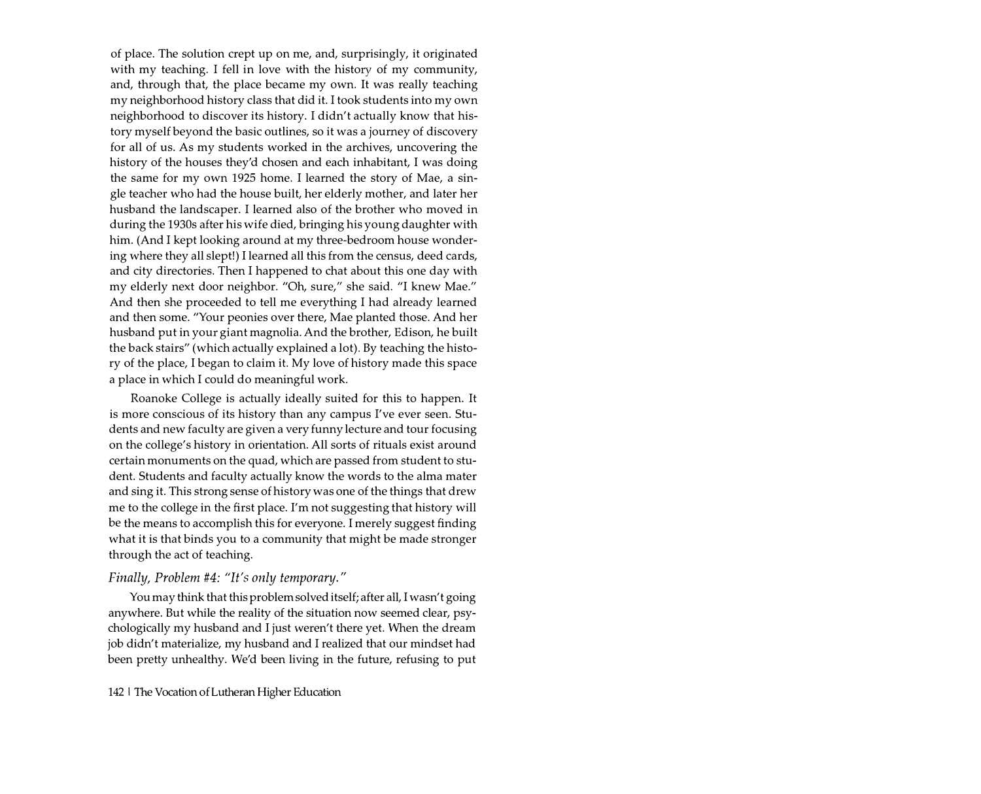of place. The solution crept up on me, and, surprisingly, it originated with my teaching. I fell in love with the history of my community, and, through that, the place became my own. It was really teaching my neighborhood history class that did it. I took students into my own neighborhood to discover its history. I didn't actually know that history myself beyond the basic outlines, so it was a journey of discovery for all of us. As my students worked in the archives, uncovering the history of the houses they'd chosen and each inhabitant, I was doing the same for my own 1925 home. I learned the story of Mae, a single teacher who had the house built, her elderly mother, and later her husband the landscaper. I learned also of the brother who moved in during the 1930s after his wife died, bringing his young daughter with him. (And I kept looking around at my three-bedroom house wondering where they all slept!) I learned all this from the census, deed cards, and city directories. Then I happened to chat about this one day with my elderly next door neighbor. "Oh, sure," she said. "I knew Mae." And then she proceeded to tell me everything I had already learned and then some. "Your peonies over there, Mae planted those. And her husband put in your giant magnolia. And the brother, Edison, he built the back stairs" (which actually explained a lot). By teaching the history of the place, I began to claim it. My love of history made this space a place in which I could do meaningful work.

Roanoke College is actually ideally suited for this to happen. It is more conscious of its history than any campus I've ever seen. Students and new faculty are given a very funny lecture and tour focusing on the college's history in orientation. All sorts of rituals exist around certain monuments on the quad, which are passed from student to student. Students and faculty actually know the words to the alma mater and sing it. This strong sense of history was one of the things that drew me to the college in the first place. I'm not suggesting that history will be the means to accomplish this for everyone. I merely suggest finding what it is that binds you to a community that might be made stronger through the act of teaching.

### *Finally, Problem #4: "It's only temporary."*

You may think that this problem solved itself; after all, I wasn't going anywhere. But while the reality of the situation now seemed clear, psychologically my husband and I just weren't there yet. When the dream job didn't materialize, my husband and I realized that our mindset had been pretty unhealthy. We'd been living in the future, refusing to put